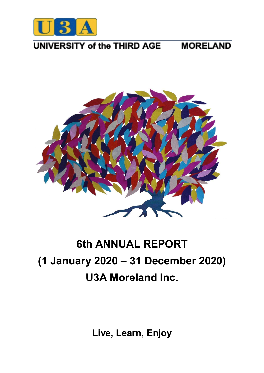

#### UNIVERSITY of the THIRD AGE **MORELAND**



# **6th ANNUAL REPORT (1 January 2020 – 31 December 2020) U3A Moreland Inc.**

**Live, Learn, Enjoy**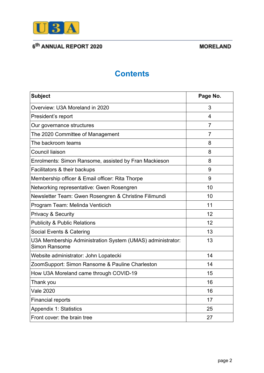

### **MORELAND**

# **Contents**

| <b>Subject</b>                                                                     | Page No.       |
|------------------------------------------------------------------------------------|----------------|
| Overview: U3A Moreland in 2020                                                     | 3              |
| President's report                                                                 | 4              |
| Our governance structures                                                          | 7              |
| The 2020 Committee of Management                                                   | $\overline{7}$ |
| The backroom teams                                                                 | 8              |
| <b>Council liaison</b>                                                             | 8              |
| Enrolments: Simon Ransome, assisted by Fran Mackieson                              | 8              |
| Facilitators & their backups                                                       | 9              |
| Membership officer & Email officer: Rita Thorpe                                    | 9              |
| Networking representative: Gwen Rosengren                                          | 10             |
| Newsletter Team: Gwen Rosengren & Christine Filimundi                              | 10             |
| Program Team: Melinda Venticich                                                    | 11             |
| <b>Privacy &amp; Security</b>                                                      | 12             |
| <b>Publicity &amp; Public Relations</b>                                            | 12             |
| Social Events & Catering                                                           | 13             |
| U3A Membership Administration System (UMAS) administrator:<br><b>Simon Ransome</b> | 13             |
| Website administrator: John Lopatecki                                              | 14             |
| ZoomSupport: Simon Ransome & Pauline Charleston                                    | 14             |
| How U3A Moreland came through COVID-19                                             | 15             |
| Thank you                                                                          | 16             |
| <b>Vale 2020</b>                                                                   | 16             |
| <b>Financial reports</b>                                                           | 17             |
| <b>Appendix 1: Statistics</b>                                                      | 25             |
| Front cover: the brain tree                                                        | 27             |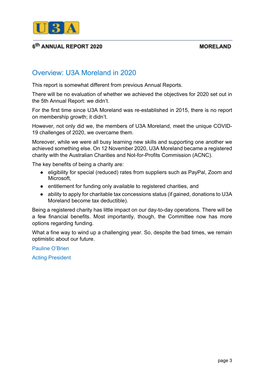

#### **MORELAND**

# Overview: U3A Moreland in 2020

This report is somewhat different from previous Annual Reports.

There will be no evaluation of whether we achieved the objectives for 2020 set out in the 5th Annual Report: we didn't.

For the first time since U3A Moreland was re-established in 2015, there is no report on membership growth; it didn't.

However, not only did we, the members of U3A Moreland, meet the unique COVID-19 challenges of 2020, we overcame them.

Moreover, while we were all busy learning new skills and supporting one another we achieved something else. On 12 November 2020, U3A Moreland became a registered charity with the Australian Charities and Not-for-Profits Commission (ACNC).

The key benefits of being a charity are:

- eligibility for special (reduced) rates from suppliers such as PayPal, Zoom and Microsoft,
- entitlement for funding only available to registered charities, and
- ability to apply for charitable tax concessions status (if gained, donations to U3A Moreland become tax deductible).

Being a registered charity has little impact on our day-to-day operations. There will be a few financial benefits. Most importantly, though, the Committee now has more options regarding funding.

What a fine way to wind up a challenging year. So, despite the bad times, we remain optimistic about our future.

Pauline O'Brien

Acting President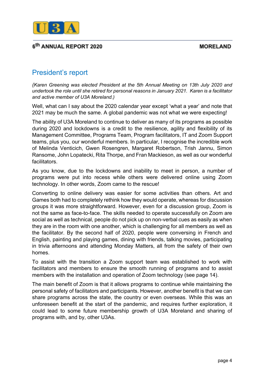**MORELAND** 



### 6<sup>th</sup> ANNUAL REPORT 2020

# President's report

*(Karen Greening was elected President at the 5th Annual Meeting on 13th July 2020 and undertook the role until she retired for personal reasons in January 2021. Karen is a facilitator and active member of U3A Moreland.)*

Well, what can I say about the 2020 calendar year except 'what a year' and note that 2021 may be much the same. A global pandemic was not what we were expecting!

The ability of U3A Moreland to continue to deliver as many of its programs as possible during 2020 and lockdowns is a credit to the resilience, agility and flexibility of its Management Committee, Programs Team, Program facilitators, IT and Zoom Support teams, plus you, our wonderful members. In particular, I recognise the incredible work of Melinda Venticich, Gwen Rosengren, Margaret Robertson, Trish Jannu, Simon Ransome, John Lopatecki, Rita Thorpe, and Fran Mackieson, as well as our wonderful facilitators.

As you know, due to the lockdowns and inability to meet in person, a number of programs were put into recess while others were delivered online using Zoom technology. In other words, Zoom came to the rescue!

Converting to online delivery was easier for some activities than others. Art and Games both had to completely rethink how they would operate, whereas for discussion groups it was more straightforward. However, even for a discussion group, Zoom is not the same as face-to-face. The skills needed to operate successfully on Zoom are social as well as technical, people do not pick up on non-verbal cues as easily as when they are in the room with one another, which is challenging for all members as well as the facilitator. By the second half of 2020, people were conversing in French and English, painting and playing games, dining with friends, talking movies, participating in trivia afternoons and attending Monday Matters, all from the safety of their own homes.

To assist with the transition a Zoom support team was established to work with facilitators and members to ensure the smooth running of programs and to assist members with the installation and operation of Zoom technology (see page 14).

The main benefit of Zoom is that it allows programs to continue while maintaining the personal safety of facilitators and participants. However, another benefit is that we can share programs across the state, the country or even overseas. While this was an unforeseen benefit at the start of the pandemic, and requires further exploration, it could lead to some future membership growth of U3A Moreland and sharing of programs with, and by, other U3As.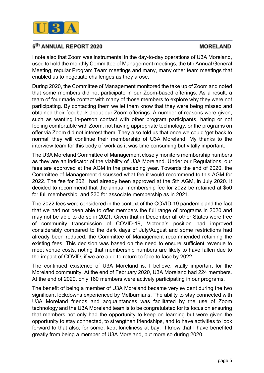

### **MORELAND**

I note also that Zoom was instrumental in the day-to-day operations of U3A Moreland, used to hold the monthly Committee of Management meetings, the 5th Annual General Meeting, regular Program Team meetings and many, many other team meetings that enabled us to negotiate challenges as they arose.

During 2020, the Committee of Management monitored the take up of Zoom and noted that some members did not participate in our Zoom-based offerings. As a result, a team of four made contact with many of those members to explore why they were not participating. By contacting them we let them know that they were being missed and obtained their feedback about our Zoom offerings. A number of reasons were given, such as wanting in-person contact with other program participants, hating or not feeling comfortable with Zoom, not having appropriate technology, or the programs on offer via Zoom did not interest them. They also told us that once we could 'get back to normal' they will continue their membership of U3A Moreland. My thanks to the interview team for this body of work as it was time consuming but vitally important.

The U3A Moreland Committee of Management closely monitors membership numbers as they are an indicator of the viability of U3A Moreland. Under our Regulations, our fees are approved at the AGM in the preceding year. Towards the end of 2020, the Committee of Management discussed what fee it would recommend to this AGM for 2022. The fee for 2021 had already been approved at the 5th AGM, in July 2020. It decided to recommend that the annual membership fee for 2022 be retained at \$50 for full membership, and \$30 for associate membership as in 2021.

The 2022 fees were considered in the context of the COVID-19 pandemic and the fact that we had not been able to offer members the full range of programs in 2020 and may not be able to do so in 2021. Given that in December all other States were free of community transmission of COVID-19, Victoria's position had improved considerably compared to the dark days of July/August and some restrictions had already been reduced, the Committee of Management recommended retaining the existing fees. This decision was based on the need to ensure sufficient revenue to meet venue costs, noting that membership numbers are likely to have fallen due to the impact of COVID, if we are able to return to face to face by 2022.

The continued existence of U3A Moreland is, I believe, vitally important for the Moreland community. At the end of February 2020, U3A Moreland had 224 members. At the end of 2020, only 160 members were actively participating in our programs.

The benefit of being a member of U3A Moreland became very evident during the two significant lockdowns experienced by Melburnians. The ability to stay connected with U3A Moreland friends and acquaintances was facilitated by the use of Zoom technology and the U3A Moreland team is to be congratulated for its focus on ensuring that members not only had the opportunity to keep on learning but were given the opportunity to stay connected, to strengthen friendships, and to have activities to look forward to that also, for some, kept loneliness at bay. I know that I have benefited greatly from being a member of U3A Moreland, but more so during 2020.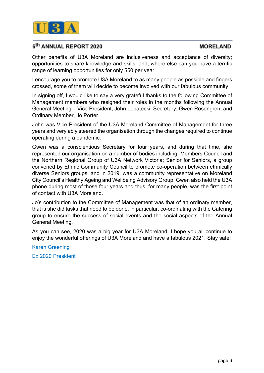

### **MORELAND**

Other benefits of U3A Moreland are inclusiveness and acceptance of diversity; opportunities to share knowledge and skills; and, where else can you have a terrific range of learning opportunities for only \$50 per year!

I encourage you to promote U3A Moreland to as many people as possible and fingers crossed, some of them will decide to become involved with our fabulous community.

In signing off, I would like to say a very grateful thanks to the following Committee of Management members who resigned their roles in the months following the Annual General Meeting – Vice President, John Lopatecki, Secretary, Gwen Rosengren, and Ordinary Member, Jo Porter.

John was Vice President of the U3A Moreland Committee of Management for three years and very ably steered the organisation through the changes required to continue operating during a pandemic.

Gwen was a conscientious Secretary for four years, and during that time, she represented our organisation on a number of bodies including: Members Council and the Northern Regional Group of U3A Network Victoria; Senior for Seniors, a group convened by Ethnic Community Council to promote co-operation between ethnically diverse Seniors groups; and in 2019, was a community representative on Moreland City Council's Healthy Ageing and Wellbeing Advisory Group. Gwen also held the U3A phone during most of those four years and thus, for many people, was the first point of contact with U3A Moreland.

Jo's contribution to the Committee of Management was that of an ordinary member, that is she did tasks that need to be done, in particular, co-ordinating with the Catering group to ensure the success of social events and the social aspects of the Annual General Meeting.

As you can see, 2020 was a big year for U3A Moreland. I hope you all continue to enjoy the wonderful offerings of U3A Moreland and have a fabulous 2021. Stay safe!

Karen Greening

Ex 2020 President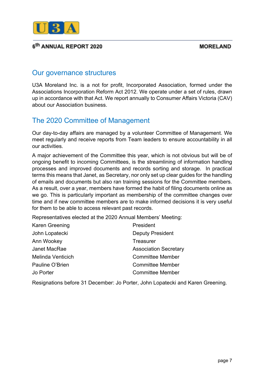

# Our governance structures

U3A Moreland Inc. is a not for profit, Incorporated Association, formed under the Associations Incorporation Reform Act 2012. We operate under a set of rules, drawn up in accordance with that Act. We report annually to Consumer Affairs Victoria (CAV) about our Association business.

# The 2020 Committee of Management

Our day-to-day affairs are managed by a volunteer Committee of Management. We meet regularly and receive reports from Team leaders to ensure accountability in all our activities.

A major achievement of the Committee this year, which is not obvious but will be of ongoing benefit to incoming Committees, is the streamlining of information handling processes and improved documents and records sorting and storage. In practical terms this means that Janet, as Secretary, nor only set up clear guides for the handling of emails and documents but also ran training sessions for the Committee members. As a result, over a year, members have formed the habit of filing documents online as we go. This is particularly important as membership of the committee changes over time and if new committee members are to make informed decisions it is very useful for them to be able to access relevant past records.

Representatives elected at the 2020 Annual Members' Meeting:

| Karen Greening    | President                    |
|-------------------|------------------------------|
| John Lopatecki    | <b>Deputy President</b>      |
| Ann Wookey        | Treasurer                    |
| Janet MacRae      | <b>Association Secretary</b> |
| Melinda Venticich | <b>Committee Member</b>      |
| Pauline O'Brien   | <b>Committee Member</b>      |
| Jo Porter         | <b>Committee Member</b>      |

Resignations before 31 December: Jo Porter, John Lopatecki and Karen Greening.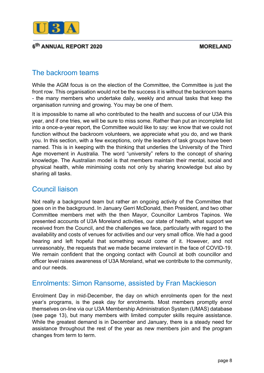

# The backroom teams

While the AGM focus is on the election of the Committee, the Committee is just the front row. This organisation would not be the success it is without the backroom teams - the many members who undertake daily, weekly and annual tasks that keep the organisation running and growing. You may be one of them.

It is impossible to name all who contributed to the health and success of our U3A this year, and if one tries, we will be sure to miss some. Rather than put an incomplete list into a once-a-year report, the Committee would like to say: we know that we could not function without the backroom volunteers, we appreciate what you do, and we thank you. In this section, with a few exceptions, only the leaders of task groups have been named. This is in keeping with the thinking that underlies the University of the Third Age movement in Australia. The word "university" refers to the concept of sharing knowledge. The Australian model is that members maintain their mental, social and physical health, while minimising costs not only by sharing knowledge but also by sharing all tasks.

# Council liaison

Not really a background team but rather an ongoing activity of the Committee that goes on in the background. In January Gerri McDonald, then President, and two other Committee members met with the then Mayor, Councillor Lambros Tapinos. We presented accounts of U3A Moreland activities, our state of health, what support we received from the Council, and the challenges we face, particularly with regard to the availability and costs of venues for activities and our very small office. We had a good hearing and left hopeful that something would come of it. However, and not unreasonably, the requests that we made became irrelevant in the face of COVID-19. We remain confident that the ongoing contact with Council at both councillor and officer level raises awareness of U3A Moreland, what we contribute to the community, and our needs.

# Enrolments: Simon Ransome, assisted by Fran Mackieson

Enrolment Day in mid-December, the day on which enrolments open for the next year's programs, is the peak day for enrolments. Most members promptly enrol themselves on-line via our U3A Membership Administration System (UMAS) database (see page 13), but many members with limited computer skills require assistance. While the greatest demand is in December and January, there is a steady need for assistance throughout the rest of the year as new members join and the program changes from term to term.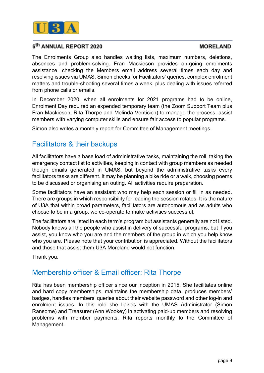

#### **MORELAND**

The Enrolments Group also handles waiting lists, maximum numbers, deletions, absences and problem-solving. Fran Mackieson provides on-going enrolments assistance, checking the Members email address several times each day and resolving issues via UMAS. Simon checks for Facilitators' queries, complex enrolment matters and trouble-shooting several times a week, plus dealing with issues referred from phone calls or emails.

In December 2020, when all enrolments for 2021 programs had to be online, Enrolment Day required an expended temporary team (the Zoom Support Team plus Fran Mackieson, Rita Thorpe and Melinda Venticich) to manage the process, assist members with varying computer skills and ensure fair access to popular programs.

Simon also writes a monthly report for Committee of Management meetings.

# Facilitators & their backups

All facilitators have a base load of administrative tasks, maintaining the roll, taking the emergency contact list to activities, keeping in contact with group members as needed though emails generated in UMAS, but beyond the administrative tasks every facilitators tasks are different. It may be planning a bike ride or a walk, choosing poems to be discussed or organising an outing. All activities require preparation.

Some facilitators have an assistant who may help each session or fill in as needed. There are groups in which responsibility for leading the session rotates. It is the nature of U3A that within broad parameters, facilitators are autonomous and as adults who choose to be in a group, we co-operate to make activities successful.

The facilitators are listed in each term's program but assistants generally are not listed. Nobody knows all the people who assist in delivery of successful programs, but if you assist, you know who you are and the members of the group in which you help know who you are. Please note that your contribution is appreciated. Without the facilitators and those that assist them U3A Moreland would not function.

Thank you.

# Membership officer & Email officer: Rita Thorpe

Rita has been membership officer since our inception in 2015. She facilitates online and hard copy memberships, maintains the membership data, produces members' badges, handles members' queries about their website password and other log-in and enrolment issues. In this role she liaises with the UMAS Administrator (Simon Ransome) and Treasurer (Ann Wookey) in activating paid-up members and resolving problems with member payments. Rita reports monthly to the Committee of Management.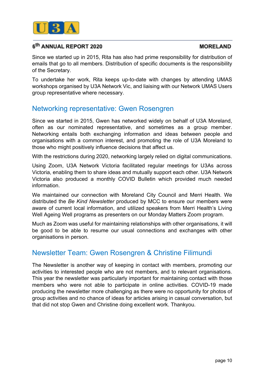

#### **MORELAND**

Since we started up in 2015, Rita has also had prime responsibility for distribution of emails that go to all members. Distribution of specific documents is the responsibility of the Secretary.

To undertake her work, Rita keeps up-to-date with changes by attending UMAS workshops organised by U3A Network Vic, and liaising with our Network UMAS Users group representative where necessary.

# Networking representative: Gwen Rosengren

Since we started in 2015, Gwen has networked widely on behalf of U3A Moreland, often as our nominated representative, and sometimes as a group member. Networking entails both exchanging information and ideas between people and organisations with a common interest, and promoting the role of U3A Moreland to those who might positively influence decisions that affect us.

With the restrictions during 2020, networking largely relied on digital communications.

Using Zoom, U3A Network Victoria facilitated regular meetings for U3As across Victoria, enabling them to share ideas and mutually support each other. U3A Network Victoria also produced a monthly COVID Bulletin which provided much needed information.

We maintained our connection with Moreland City Council and Merri Health. We distributed the *Be Kind Newsletter* produced by MCC to ensure our members were aware of current local information, and utilized speakers from Merri Health's Living Well Ageing Well programs as presenters on our Monday Matters Zoom program.

Much as Zoom was useful for maintaining relationships with other organisations, it will be good to be able to resume our usual connections and exchanges with other organisations in person.

# Newsletter Team: Gwen Rosengren & Christine Filimundi

The Newsletter is another way of keeping in contact with members, promoting our activities to interested people who are not members, and to relevant organisations. This year the newsletter was particularly important for maintaining contact with those members who were not able to participate in online activities. COVID-19 made producing the newsletter more challenging as there were no opportunity for photos of group activities and no chance of ideas for articles arising in casual conversation, but that did not stop Gwen and Christine doing excellent work. Thankyou.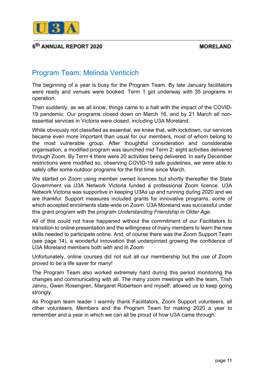

# Program Team: Melinda Venticich

The beginning of a year is busy for the Program Team. By late January facilitators were ready and venues were booked. Term 1 got underway with 35 programs in operation.

Then suddenly, as we all know, things came to a halt with the impact of the COVID-19 pandemic. Our programs closed down on March 16, and by 21 March all nonessential services in Victoria were closed, including U3A Moreland.

While obviously not classified as essential, we knew that, with lockdown, our services became even more important than usual for our members, most of whom belong to the most vulnerable group. After thoughtful consideration and considerable organisation, a modified program was launched mid Term 2: eight activities delivered through Zoom. By Term 4 there were 20 activities being delivered. In early December restrictions were modified so, observing COVID-19 safe guidelines, we were able to safely offer some outdoor programs for the first time since March.

We started on Zoom using member owned licences but shortly thereafter the State Government via U3A Network Victoria funded a professional Zoom licence. U3A Network Victoria was supportive in keeping U3As up and running during 2020 and we are thankful. Support measures included grants for innovative programs, some of which accepted enrolments state-wide on Zoom. U3A Moreland was successful under this grant program with the program *Understanding Friendship in Older Age*.

All of this could not have happened without the commitment of our Facilitators to transition to online presentation and the willingness of many members to learn the new skills needed to participate online. And, of course there was the Zoom Support Team (see page 14), a wonderful innovation that underpinned growing the confidence of U3A Moreland members both with and in Zoom

Unfortunately, online courses did not suit all our membership but the use of Zoom proved to be a life saver for many!

The Program Team also worked extremely hard during this period monitoring the changes and communicating with all. The many zoom meetings with the team, Trish Jannu, Gwen Rosengren, Margaret Robertson and myself, allowed us to keep going strongly.

As Program team leader I warmly thank Facilitators, Zoom Support volunteers, all other volunteers, Members and the Program Team for making 2020 a year to remember and a year in which we can all be proud of how U3A came through.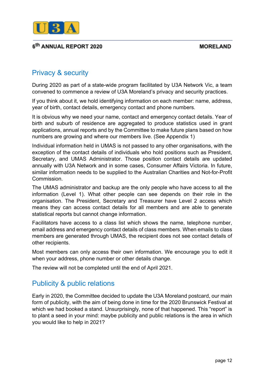

# Privacy & security

During 2020 as part of a state-wide program facilitated by U3A Network Vic, a team convened to commence a review of U3A Moreland's privacy and security practices.

If you think about it, we hold identifying information on each member: name, address, year of birth, contact details, emergency contact and phone numbers.

It is obvious why we need your name, contact and emergency contact details. Year of birth and suburb of residence are aggregated to produce statistics used in grant applications, annual reports and by the Committee to make future plans based on how numbers are growing and where our members live. (See Appendix 1)

Individual information held in UMAS is not passed to any other organisations, with the exception of the contact details of individuals who hold positions such as President, Secretary, and UMAS Administrator. Those position contact details are updated annually with U3A Network and in some cases, Consumer Affairs Victoria. In future, similar information needs to be supplied to the Australian Charities and Not-for-Profit Commission.

The UMAS administrator and backup are the only people who have access to all the information (Level 1). What other people can see depends on their role in the organisation. The President, Secretary and Treasurer have Level 2 access which means they can access contact details for all members and are able to generate statistical reports but cannot change information.

Facilitators have access to a class list which shows the name, telephone number, email address and emergency contact details of class members. When emails to class members are generated through UMAS, the recipient does not see contact details of other recipients.

Most members can only access their own information. We encourage you to edit it when your address, phone number or other details change.

The review will not be completed until the end of April 2021.

# Publicity & public relations

Early in 2020, the Committee decided to update the U3A Moreland postcard, our main form of publicity, with the aim of being done in time for the 2020 Brunswick Festival at which we had booked a stand. Unsurprisingly, none of that happened. This "report" is to plant a seed in your mind: maybe publicity and public relations is the area in which you would like to help in 2021?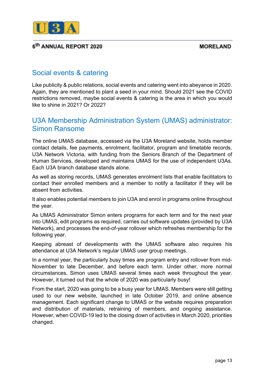

# Social events & catering

Like publicity & public relations, social events and catering went into abeyance in 2020. Again, they are mentioned to plant a seed in your mind. Should 2021 see the COVID restrictions removed, maybe social events & catering is the area in which you would like to shine in 2021? Or 2022?

# U3A Membership Administration System (UMAS) administrator: Simon Ransome

The online UMAS database, accessed via the U3A Moreland website, holds member contact details, fee payments, enrolment, facilitator, program and timetable records. U3A Network Victoria, with funding from the Seniors Branch of the Department of Human Services, developed and maintains UMAS for the use of independent U3As. Each U3A branch database stands alone.

As well as storing records, UMAS generates enrolment lists that enable facilitators to contact their enrolled members and a member to notify a facilitator if they will be absent from activities.

It also enables potential members to join U3A and enrol in programs online throughout the year.

As UMAS Administrator Simon enters programs for each term and for the next year into UMAS, edit programs as required, carries out software updates (provided by U3A Network), and processes the end-of-year rollover which refreshes membership for the following year.

Keeping abreast of developments with the UMAS software also requires his attendance at U3A Network's regular UMAS user group meetings.

In a normal year, the particularly busy times are program entry and rollover from mid-November to late December, and before each term. Under other, more normal circumstances, Simon uses UMAS several times each week throughout the year. However, it turned out that the whole of 2020 was particularly busy!

From the start, 2020 was going to be a busy year for UMAS. Members were still getting used to our new website, launched in late October 2019, and online absence management. Each significant change to UMAS or the website requires preparation and distribution of materials, retraining of members, and ongoing assistance. However, when COVID-19 led to the closing down of activities in March 2020, priorities changed.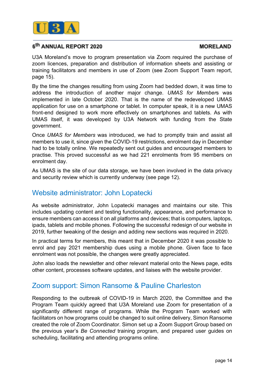

#### **MORELAND**

U3A Moreland's move to program presentation via Zoom required the purchase of zoom licences, preparation and distribution of information sheets and assisting or training facilitators and members in use of Zoom (see Zoom Support Team report, page 15).

By the time the changes resulting from using Zoom had bedded down, it was time to address the introduction of another major change. *UMAS for Member*s was implemented in late October 2020. That is the name of the redeveloped UMAS application for use on a smartphone or tablet. In computer speak, it is a new UMAS front-end designed to work more effectively on smartphones and tablets. As with UMAS itself, it was developed by U3A Network with funding from the State government.

Once *UMAS for Members* was introduced, we had to promptly train and assist all members to use it, since given the COVID-19 restrictions, enrolment day in December had to be totally online. We repeatedly sent out guides and encouraged members to practise. This proved successful as we had 221 enrolments from 95 members on enrolment day.

As UMAS is the site of our data storage, we have been involved in the data privacy and security review which is currently underway (see page 12).

# Website administrator: John Lopatecki

As website administrator, John Lopatecki manages and maintains our site. This includes updating content and testing functionality, appearance, and performance to ensure members can access it on all platforms and devices; that is computers, laptops, ipads, tablets and mobile phones. Following the successful redesign of our website in 2019, further tweaking of the design and adding new sections was required in 2020.

In practical terms for members, this meant that in December 2020 it was possible to enrol and pay 2021 membership dues using a mobile phone. Given face to face enrolment was not possible, the changes were greatly appreciated.

John also loads the newsletter and other relevant material onto the News page, edits other content, processes software updates, and liaises with the website provider.

# Zoom support: Simon Ransome & Pauline Charleston

Responding to the outbreak of COVID-19 in March 2020, the Committee and the Program Team quickly agreed that U3A Moreland use Zoom for presentation of a significantly different range of programs. While the Program Team worked with facilitators on how programs could be changed to suit online delivery, Simon Ransome created the role of Zoom Coordinator. Simon set up a Zoom Support Group based on the previous year's *Be Connected* training program, and prepared user guides on scheduling, facilitating and attending programs online.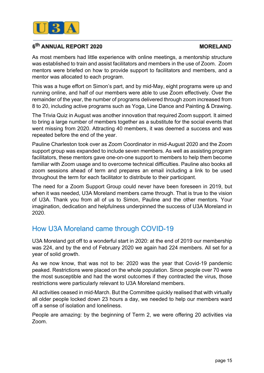

### **MORELAND**

As most members had little experience with online meetings, a mentorship structure was established to train and assist facilitators and members in the use of Zoom. Zoom mentors were briefed on how to provide support to facilitators and members, and a mentor was allocated to each program.

This was a huge effort on Simon's part, and by mid-May, eight programs were up and running online, and half of our members were able to use Zoom effectively. Over the remainder of the year, the number of programs delivered through zoom increased from 8 to 20, including active programs such as Yoga, Line Dance and Painting & Drawing.

The Trivia Quiz in August was another innovation that required Zoom support. It aimed to bring a large number of members together as a substitute for the social events that went missing from 2020. Attracting 40 members, it was deemed a success and was repeated before the end of the year.

Pauline Charleston took over as Zoom Coordinator in mid-August 2020 and the Zoom support group was expanded to include seven members. As well as assisting program facilitators, these mentors gave one-on-one support to members to help them become familiar with Zoom usage and to overcome technical difficulties. Pauline also books all zoom sessions ahead of term and prepares an email including a link to be used throughout the term for each facilitator to distribute to their participant.

The need for a Zoom Support Group could never have been foreseen in 2019, but when it was needed, U3A Moreland members came through. That is true to the vision of U3A. Thank you from all of us to Simon, Pauline and the other mentors. Your imagination, dedication and helpfulness underpinned the success of U3A Moreland in 2020.

# How U3A Moreland came through COVID-19

U3A Moreland got off to a wonderful start in 2020: at the end of 2019 our membership was 224, and by the end of February 2020 we again had 224 members. All set for a year of solid growth.

As we now know, that was not to be: 2020 was the year that Covid-19 pandemic peaked. Restrictions were placed on the whole population. Since people over 70 were the most susceptible and had the worst outcomes if they contracted the virus, those restrictions were particularly relevant to U3A Moreland members.

All activities ceased in mid-March. But the Committee quickly realised that with virtually all older people locked down 23 hours a day, we needed to help our members ward off a sense of isolation and loneliness.

People are amazing: by the beginning of Term 2, we were offering 20 activities via Zoom.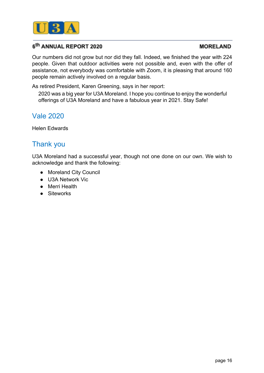

#### **MORELAND**

Our numbers did not grow but nor did they fall. Indeed, we finished the year with 224 people. Given that outdoor activities were not possible and, even with the offer of assistance, not everybody was comfortable with Zoom, it is pleasing that around 160 people remain actively involved on a regular basis.

As retired President, Karen Greening, says in her report:

2020 was a big year for U3A Moreland. I hope you continue to enjoy the wonderful offerings of U3A Moreland and have a fabulous year in 2021. Stay Safe!

# Vale 2020

Helen Edwards

# Thank you

U3A Moreland had a successful year, though not one done on our own. We wish to acknowledge and thank the following:

- Moreland City Council
- U3A Network Vic
- Merri Health
- Siteworks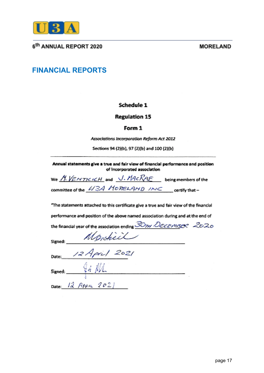

#### **MORELAND**

# **FINANCIAL REPORTS**

#### Schedule 1

#### Regulation 15

#### Form 1

Associations Incorporation Reform Act 2012

Sections 94 (2)(b), 97 (2)(b) and 100 (2)(b)

Annual statements give a true and fair view of financial performance and position of Incorporated association

| We <u>M: VEMTICICH</u> and <u>J. MACRAE</u> |  | being members of the |
|---------------------------------------------|--|----------------------|
| committee of the 43A MORELAMD INC           |  | certify that –       |

"The statements attached to this certificate give a true and fair view of the financial

performance and position of the above named association during and at the end of

| the financial year of the association ending <i>SOTH DECEMISE</i> 2020 |  |
|------------------------------------------------------------------------|--|
|                                                                        |  |

signed: Monchiel<br>Date: 12 April 2021

 $Signed:$   $94$   $M$ 

Date:  $12$  Apple 2021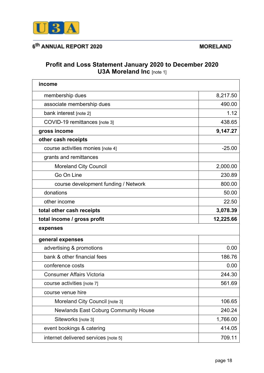

#### **MORELAND**

# **Profit and Loss Statement January 2020 to December 2020 U3A Moreland Inc** [note 1]

| income                                      |           |
|---------------------------------------------|-----------|
| membership dues                             | 8,217.50  |
| associate membership dues                   | 490.00    |
| bank interest [note 2]                      | 1.12      |
| COVID-19 remittances [note 3]               | 438.65    |
| gross income                                | 9,147.27  |
| other cash receipts                         |           |
| course activities monies [note 4]           | $-25.00$  |
| grants and remittances                      |           |
| <b>Moreland City Council</b>                | 2,000.00  |
| Go On Line                                  | 230.89    |
| course development funding / Network        | 800.00    |
| donations                                   | 50.00     |
| other income                                | 22.50     |
| total other cash receipts                   | 3,078.39  |
|                                             |           |
| total income / gross profit                 | 12,225.66 |
| expenses                                    |           |
| general expenses                            |           |
| advertising & promotions                    | 0.00      |
| bank & other financial fees                 | 186.76    |
| conference costs                            | 0.00      |
| <b>Consumer Affairs Victoria</b>            | 244.30    |
| course activities [note 7]                  | 561.69    |
| course venue hire                           |           |
| Moreland City Council [note 3]              | 106.65    |
| <b>Newlands East Coburg Community House</b> | 240.24    |
| Siteworks [note 3]                          | 1,766.00  |
| event bookings & catering                   | 414.05    |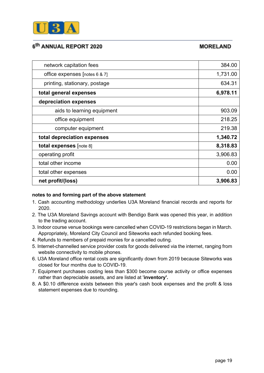

### **MORELAND**

| network capitation fees         | 384.00   |
|---------------------------------|----------|
| office expenses $[notes 6 8 7]$ | 1,731.00 |
| printing, stationary, postage   | 634.31   |
| total general expenses          | 6,978.11 |
| depreciation expenses           |          |
| aids to learning equipment      | 903.09   |
| office equipment                | 218.25   |
| computer equipment              | 219.38   |
| total depreciation expenses     | 1,340.72 |
| <b>total expenses</b> [note 8]  | 8,318.83 |
| operating profit                | 3,906.83 |
| total other income              | 0.00     |
| total other expenses            | 0.00     |
| net profit/(loss)               | 3,906.83 |

#### **notes to and forming part of the above statement**

- 1. Cash accounting methodology underlies U3A Moreland financial records and reports for 2020.
- 2. The U3A Moreland Savings account with Bendigo Bank was opened this year, in addition to the trading account.
- 3. Indoor course venue bookings were cancelled when COVID-19 restrictions began in March. Appropriately, Moreland City Council and Siteworks each refunded booking fees.
- 4. Refunds to members of prepaid monies for a cancelled outing.
- 5. Internet-channelled service provider costs for goods delivered via the internet, ranging from website connectivity to mobile phones.
- 6. U3A Moreland office rental costs are significantly down from 2019 because Siteworks was closed for four months due to COVID-19.
- 7. Equipment purchases costing less than \$300 become course activity or office expenses rather than depreciable assets, and are listed at '**inventory'.**
- 8. A \$0.10 difference exists between this year's cash book expenses and the profit & loss statement expenses due to rounding.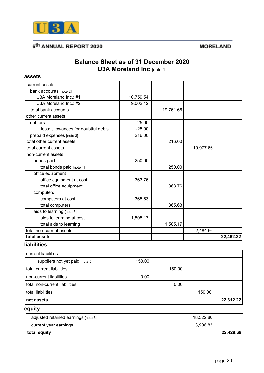

#### **MORELAND**

# **Balance Sheet as of 31 December 2020 U3A Moreland Inc** [note 1]

#### **assets**

| current assets                      |           |           |           |           |
|-------------------------------------|-----------|-----------|-----------|-----------|
| bank accounts [note 2]              |           |           |           |           |
| U3A Moreland Inc.: #1               | 10,759.54 |           |           |           |
| U3A Moreland Inc.: #2               | 9,002.12  |           |           |           |
| total bank accounts                 |           | 19,761.66 |           |           |
| other current assets                |           |           |           |           |
| debtors                             | 25.00     |           |           |           |
| less: allowances for doubtful debts | $-25.00$  |           |           |           |
| prepaid expenses [note 3]           | 216.00    |           |           |           |
| total other current assets          |           | 216.00    |           |           |
| total current assets                |           |           | 19,977.66 |           |
| non-current assets                  |           |           |           |           |
| bonds paid                          | 250.00    |           |           |           |
| total bonds paid [note 4]           |           | 250.00    |           |           |
| office equipment                    |           |           |           |           |
| office equipment at cost            | 363.76    |           |           |           |
| total office equipment              |           | 363.76    |           |           |
| computers                           |           |           |           |           |
| computers at cost                   | 365.63    |           |           |           |
| total computers                     |           | 365.63    |           |           |
| aids to learning [note 6]           |           |           |           |           |
| aids to learning at cost            | 1,505.17  |           |           |           |
| total aids to learning              |           | 1,505.17  |           |           |
| total non-current assets            |           |           | 2,484.56  |           |
| total assets                        |           |           |           | 22,462.22 |

### **liabilities**

| current liabilities             |        |        |        |           |
|---------------------------------|--------|--------|--------|-----------|
| suppliers not yet paid [note 5] | 150.00 |        |        |           |
| total current liabilities       |        | 150.00 |        |           |
| non-current liabilities         | 0.00   |        |        |           |
| total non-current liabilities   |        | 0.00   |        |           |
| total liabilities               |        |        | 150.00 |           |
| net assets                      |        |        |        | 22,312.22 |

# **equity**

| adjusted retained earnings [note 6] |  | 18,522.86 |           |
|-------------------------------------|--|-----------|-----------|
| current year earnings               |  | 3,906.83  |           |
| total equity                        |  |           | 22,429.69 |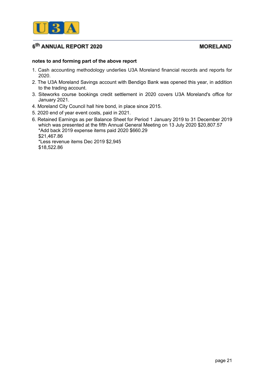

#### **MORELAND**

#### **notes to and forming part of the above report**

- 1. Cash accounting methodology underlies U3A Moreland financial records and reports for 2020.
- 2. The U3A Moreland Savings account with Bendigo Bank was opened this year, in addition to the trading account.
- 3. Siteworks course bookings credit settlement in 2020 covers U3A Moreland's office for January 2021.
- 4. Moreland City Council hall hire bond, in place since 2015.
- 5. 2020 end of year event costs, paid in 2021.
- 6. Retained Earnings as per Balance Sheet for Period 1 January 2019 to 31 December 2019 which was presented at the fifth Annual General Meeting on 13 July 2020 \$20,807.57 \*Add back 2019 expense items paid 2020 \$660.29 \$21,467.86 \*Less revenue items Dec 2019 \$2,945

\$18,522.86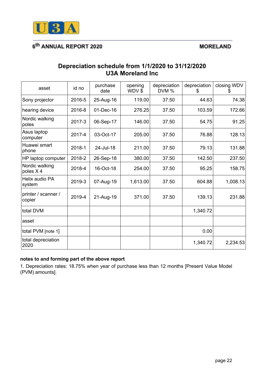

### **MORELAND**

### **Depreciation schedule from 1/1/2020 to 31/12/2020 U3A Moreland Inc**

| asset                         | id no  | purchase<br>date | opening<br>WDV\$ | depreciation<br>DVM % | depreciation<br>Ж | closing WDV<br>Ж |
|-------------------------------|--------|------------------|------------------|-----------------------|-------------------|------------------|
| Sony projector                | 2016-5 | 25-Aug-16        | 119.00           | 37.50                 | 44.63             | 74.38            |
| hearing device                | 2016-8 | 01-Dec-16        | 276.25           | 37.50                 | 103.59            | 172.66           |
| Nordic walking<br>poles       | 2017-3 | 06-Sep-17        | 146.00           | 37.50                 | 54.75             | 91.25            |
| Asus laptop<br>computer       | 2017-4 | 03-Oct-17        | 205.00           | 37.50                 | 76.88             | 128.13           |
| Huawei smart<br>phone         | 2018-1 | 24-Jul-18        | 211.00           | 37.50                 | 79.13             | 131.88           |
| HP laptop computer            | 2018-2 | 26-Sep-18        | 380.00           | 37.50                 | 142.50            | 237.50           |
| Nordic walking<br>poles X4    | 2018-4 | 16-Oct-18        | 254.00           | 37.50                 | 95.25             | 158.75           |
| Helix audio PA<br>system      | 2019-3 | 07-Aug-19        | 1,613.00         | 37.50                 | 604.88            | 1,008.13         |
| printer / scanner /<br>copier | 2019-4 | 21-Aug-19        | 371.00           | 37.50                 | 139.13            | 231.88           |
| total DVM                     |        |                  |                  |                       | 1,340.72          |                  |
| asset                         |        |                  |                  |                       |                   |                  |
| total PVM [note 1]            |        |                  |                  |                       | 0.00              |                  |
| total depreciation<br>2020    |        |                  |                  |                       | 1,340.72          | 2,234.53         |

#### **notes to and forming part of the above report**

1. Depreciation rates: 18.75% when year of purchase less than 12 months [Present Value Model (PVM) amounts].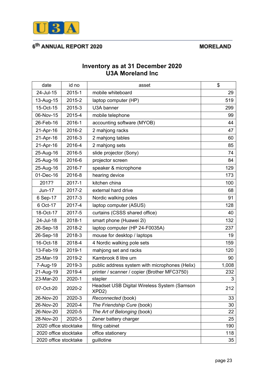

### **MORELAND**

### **Inventory as at 31 December 2020 U3A Moreland Inc**

| date                  | id no  | asset                                                             | \$    |
|-----------------------|--------|-------------------------------------------------------------------|-------|
| 24-Jul-15             | 2015-1 | mobile whiteboard                                                 | 29    |
| 13-Aug-15             | 2015-2 | laptop computer (HP)                                              | 519   |
| 15-Oct-15             | 2015-3 | U3A banner                                                        | 299   |
| 06-Nov-15             | 2015-4 | mobile telephone                                                  | 99    |
| 26-Feb-16             | 2016-1 | accounting software (MYOB)                                        | 44    |
| 21-Apr-16             | 2016-2 | 2 mahjong racks                                                   | 47    |
| 21-Apr-16             | 2016-3 | 2 mahjong tables                                                  | 60    |
| 21-Apr-16             | 2016-4 | 2 mahjong sets                                                    | 85    |
| 25-Aug-16             | 2016-5 | slide projector (Sony)                                            | 74    |
| 25-Aug-16             | 2016-6 | projector screen                                                  | 84    |
| 25-Aug-16             | 2016-7 | speaker & microphone                                              | 129   |
| 01-Dec-16             | 2016-8 | hearing device                                                    | 173   |
| 2017?                 | 2017-1 | kitchen china                                                     | 100   |
| <b>Jun-17</b>         | 2017-2 | external hard drive                                               | 68    |
| 6 Sep-17              | 2017-3 | Nordic walking poles                                              | 91    |
| 6 Oct-17              | 2017-4 | laptop computer (ASUS)                                            | 128   |
| 18-Oct-17             | 2017-5 | curtains (CSSS shared office)                                     | 40    |
| 24-Jul-18             | 2018-1 | smart phone (Huawei 2i)                                           | 132   |
| 26-Sep-18             | 2018-2 | laptop computer (HP 24-F0035A)                                    | 237   |
| 26-Sep-18             | 2018-3 | mouse for desktop / laptops                                       | 19    |
| 16-Oct-18             | 2018-4 | 4 Nordic walking pole sets                                        | 159   |
| 13-Feb-19             | 2019-1 | mahjong set and racks                                             | 120   |
| 25-Mar-19             | 2019-2 | Kambrook 8 litre urn                                              | 90    |
| 7-Aug-19              | 2019-3 | public address system with microphones (Helix)                    | 1,008 |
| 21-Aug-19             | 2019-4 | printer / scanner / copier (Brother MFC3750)                      | 232   |
| 23-Mar-20             | 2020-1 | stanler                                                           | 3     |
| 07-Oct-20             | 2020-2 | Headset USB Digital Wireless System (Samson<br>XPD <sub>2</sub> ) | 212   |
| 26-Nov-20             | 2020-3 | Reconnected (book)                                                | 33    |
| 26-Nov-20             | 2020-4 | The Friendship Cure (book)                                        | 30    |
| 26-Nov-20             | 2020-5 | The Art of Belonging (book)                                       | 22    |
| 28-Nov-20             | 2020-5 | Zener battery charger                                             | 25    |
| 2020 office stocktake |        | filing cabinet                                                    | 190   |
| 2020 office stocktake |        | office stationery                                                 | 118   |
| 2020 office stocktake |        | guillotine                                                        | 35    |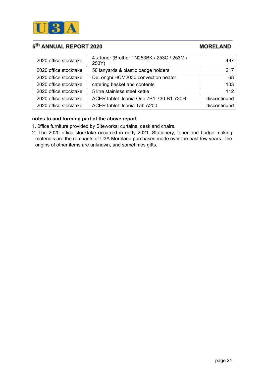

**MORELAND** 

| 2020 office stocktake | 4 x toner (Brother TN253BK / 253C / 253M /<br>253Y) | 487          |
|-----------------------|-----------------------------------------------------|--------------|
| 2020 office stocktake | 50 lanyards & plastic badge holders                 | 217          |
| 2020 office stocktake | DeLonghi HCM2030 convection heater                  | 68           |
| 2020 office stocktake | catering basket and contents                        | 103          |
| 2020 office stocktake | 5 litre stainless steel kettle                      | 112          |
| 2020 office stocktake | ACER tablet: Iconia One 7B1-730-B1-730H             | discontinued |
| 2020 office stocktake | ACER tablet: Iconia Tab A200                        | discontinued |

#### **notes to and forming part of the above report**

- 1. 0ffice furniture provided by Siteworks: curtains, desk and chairs.
- 2. The 2020 office stocktake occurred in early 2021. Stationery, toner and badge making materials are the remnants of U3A Moreland purchases made over the past few years. The origins of other items are unknown, and sometimes gifts.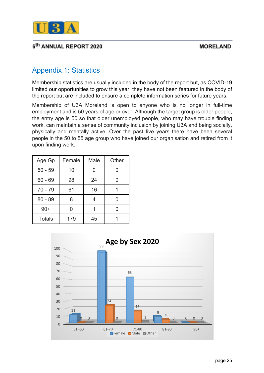

# Appendix 1: Statistics

Membership statistics are usually included in the body of the report but, as COVID-19 limited our opportunities to grow this year, they have not been featured in the body of the report but are included to ensure a complete information series for future years.

Membership of U3A Moreland is open to anyone who is no longer in full-time employment and is 50 years of age or over. Although the target group is older people, the entry age is 50 so that older unemployed people, who may have trouble finding work, can maintain a sense of community inclusion by joining U3A and being socially, physically and mentally active. Over the past five years there have been several people in the 50 to 55 age group who have joined our organisation and retired from it upon finding work.

| Age Gp        | Female | Male | Other |
|---------------|--------|------|-------|
| $50 - 59$     | 10     |      | በ     |
| $60 - 69$     | 98     | 24   |       |
| $70 - 79$     | 61     | 16   |       |
| $80 - 89$     | 8      |      |       |
| $90+$         | O      |      |       |
| <b>Totals</b> | 179    | 45   |       |

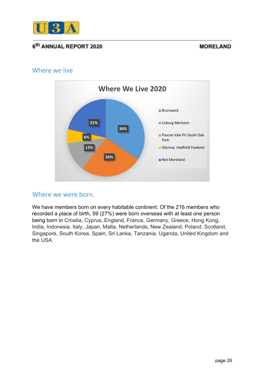

### **MORELAND**

# Where we live



### Where we were born.

We have members born on every habitable continent. Of the 216 members who recorded a place of birth, 59 (27%) were born overseas with at least one person being born in Croatia, Cyprus, England, France, Germany, Greece, Hong Kong, India, Indonesia, Italy, Japan, Malta, Netherlands, New Zealand, Poland, Scotland, Singapore, South Korea, Spain, Sri Lanka, Tanzania, Uganda, United Kingdom and the USA.